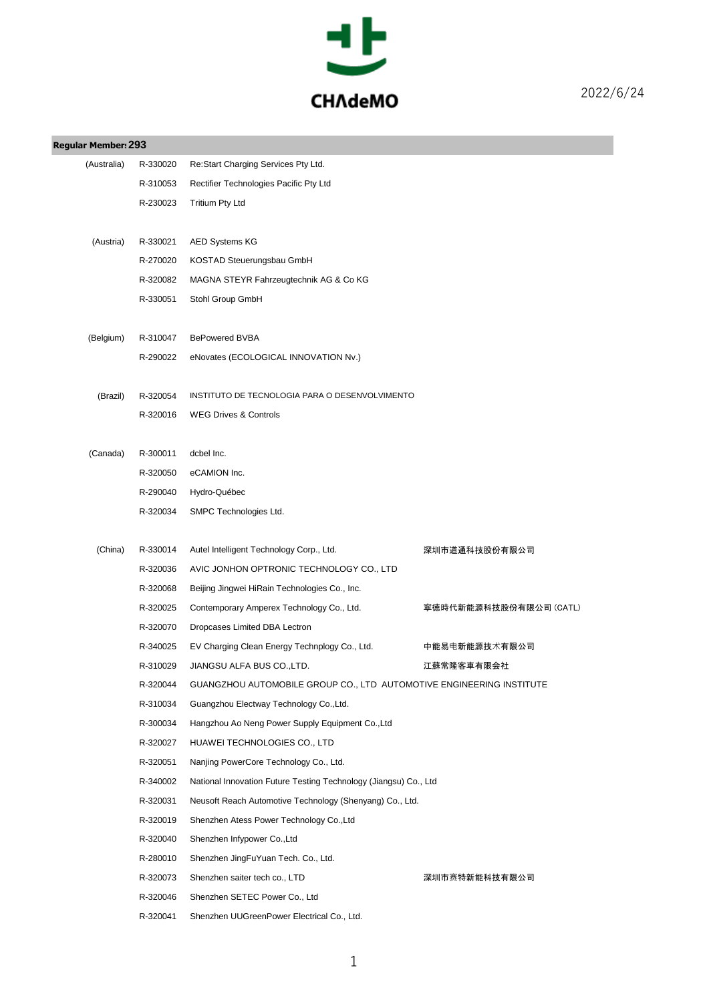

| <b>Regular Member: 293</b> |          |                                                                      |                        |
|----------------------------|----------|----------------------------------------------------------------------|------------------------|
| (Australia)                | R-330020 | Re:Start Charging Services Pty Ltd.                                  |                        |
|                            | R-310053 | Rectifier Technologies Pacific Pty Ltd                               |                        |
|                            | R-230023 | <b>Tritium Pty Ltd</b>                                               |                        |
|                            |          |                                                                      |                        |
| (Austria)                  | R-330021 | <b>AED Systems KG</b>                                                |                        |
|                            | R-270020 | KOSTAD Steuerungsbau GmbH                                            |                        |
|                            | R-320082 | MAGNA STEYR Fahrzeugtechnik AG & Co KG                               |                        |
|                            | R-330051 | Stohl Group GmbH                                                     |                        |
| (Belgium)                  | R-310047 | <b>BePowered BVBA</b>                                                |                        |
|                            | R-290022 | eNovates (ECOLOGICAL INNOVATION Nv.)                                 |                        |
|                            |          |                                                                      |                        |
| (Brazil)                   | R-320054 | INSTITUTO DE TECNOLOGIA PARA O DESENVOLVIMENTO                       |                        |
|                            | R-320016 | <b>WEG Drives &amp; Controls</b>                                     |                        |
|                            |          |                                                                      |                        |
| (Canada)                   | R-300011 | dcbel Inc.                                                           |                        |
|                            | R-320050 | eCAMION Inc.                                                         |                        |
|                            | R-290040 | Hydro-Québec                                                         |                        |
|                            | R-320034 | SMPC Technologies Ltd.                                               |                        |
|                            |          |                                                                      |                        |
| (China)                    | R-330014 | Autel Intelligent Technology Corp., Ltd.                             | 深圳市道通科技股份有限公司          |
|                            | R-320036 | AVIC JONHON OPTRONIC TECHNOLOGY CO., LTD                             |                        |
|                            | R-320068 | Beijing Jingwei HiRain Technologies Co., Inc.                        |                        |
|                            | R-320025 | Contemporary Amperex Technology Co., Ltd.                            | 寧徳時代新能源科技股份有限公司 (CATL) |
|                            | R-320070 | Dropcases Limited DBA Lectron                                        |                        |
|                            | R-340025 | EV Charging Clean Energy Technplogy Co., Ltd.                        | 中能易电新能源技术有限公司          |
|                            | R-310029 | JIANGSU ALFA BUS CO.,LTD.                                            | 江蘇常隆客車有限会社             |
|                            | R-320044 | GUANGZHOU AUTOMOBILE GROUP CO., LTD AUTOMOTIVE ENGINEERING INSTITUTE |                        |
|                            | R-310034 | Guangzhou Electway Technology Co., Ltd.                              |                        |
|                            | R-300034 | Hangzhou Ao Neng Power Supply Equipment Co., Ltd                     |                        |
|                            | R-320027 | HUAWEI TECHNOLOGIES CO., LTD                                         |                        |
|                            | R-320051 | Nanjing PowerCore Technology Co., Ltd.                               |                        |
|                            | R-340002 | National Innovation Future Testing Technology (Jiangsu) Co., Ltd     |                        |
|                            | R-320031 | Neusoft Reach Automotive Technology (Shenyang) Co., Ltd.             |                        |
|                            | R-320019 | Shenzhen Atess Power Technology Co., Ltd                             |                        |
|                            | R-320040 | Shenzhen Infypower Co., Ltd                                          |                        |
|                            | R-280010 | Shenzhen JingFuYuan Tech. Co., Ltd.                                  |                        |
|                            | R-320073 | Shenzhen saiter tech co., LTD                                        | 深圳市赛特新能科技有限公司          |
|                            | R-320046 | Shenzhen SETEC Power Co., Ltd                                        |                        |
|                            | R-320041 | Shenzhen UUGreenPower Electrical Co., Ltd.                           |                        |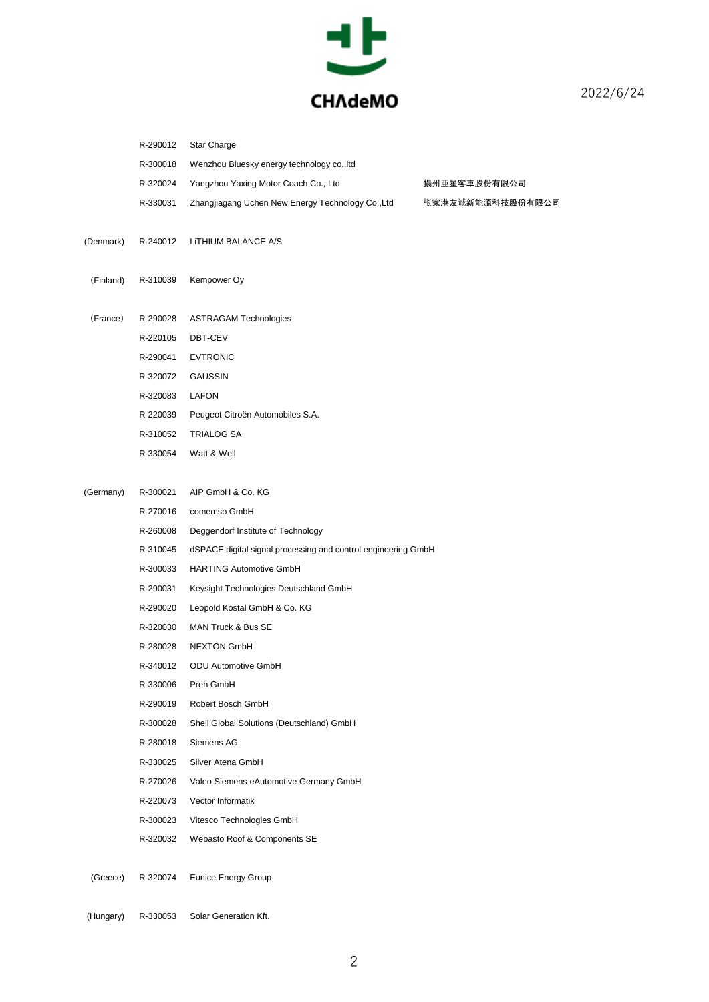

|           | R-290012 | Star Charge                                                   |                  |
|-----------|----------|---------------------------------------------------------------|------------------|
|           | R-300018 | Wenzhou Bluesky energy technology co., Itd                    |                  |
|           | R-320024 | Yangzhou Yaxing Motor Coach Co., Ltd.                         | 揚州亜星客車股份有限公司     |
|           | R-330031 | Zhangjiagang Uchen New Energy Technology Co., Ltd             | 张家港友诚新能源科技股份有限公司 |
| (Denmark) | R-240012 | LITHIUM BALANCE A/S                                           |                  |
| (Finland) | R-310039 | Kempower Oy                                                   |                  |
| (France)  | R-290028 | <b>ASTRAGAM Technologies</b>                                  |                  |
|           | R-220105 | DBT-CEV                                                       |                  |
|           | R-290041 | <b>EVTRONIC</b>                                               |                  |
|           | R-320072 | GAUSSIN                                                       |                  |
|           | R-320083 | LAFON                                                         |                  |
|           | R-220039 | Peugeot Citroën Automobiles S.A.                              |                  |
|           | R-310052 | TRIALOG SA                                                    |                  |
|           | R-330054 | Watt & Well                                                   |                  |
| (Germany) | R-300021 | AIP GmbH & Co. KG                                             |                  |
|           | R-270016 | comemso GmbH                                                  |                  |
|           | R-260008 | Deggendorf Institute of Technology                            |                  |
|           | R-310045 | dSPACE digital signal processing and control engineering GmbH |                  |
|           | R-300033 | <b>HARTING Automotive GmbH</b>                                |                  |
|           | R-290031 | Keysight Technologies Deutschland GmbH                        |                  |
|           | R-290020 | Leopold Kostal GmbH & Co. KG                                  |                  |
|           | R-320030 | MAN Truck & Bus SE                                            |                  |
|           | R-280028 | <b>NEXTON GmbH</b>                                            |                  |
|           | R-340012 | <b>ODU Automotive GmbH</b>                                    |                  |
|           | R-330006 | Preh GmbH                                                     |                  |
|           | R-290019 | Robert Bosch GmbH                                             |                  |
|           | R-300028 | Shell Global Solutions (Deutschland) GmbH                     |                  |
|           | R-280018 | Siemens AG                                                    |                  |
|           | R-330025 | Silver Atena GmbH                                             |                  |
|           | R-270026 | Valeo Siemens eAutomotive Germany GmbH                        |                  |
|           | R-220073 | Vector Informatik                                             |                  |
|           | R-300023 | Vitesco Technologies GmbH                                     |                  |
|           | R-320032 | Webasto Roof & Components SE                                  |                  |
| (Greece)  | R-320074 | <b>Eunice Energy Group</b>                                    |                  |
| (Hungary) | R-330053 | Solar Generation Kft.                                         |                  |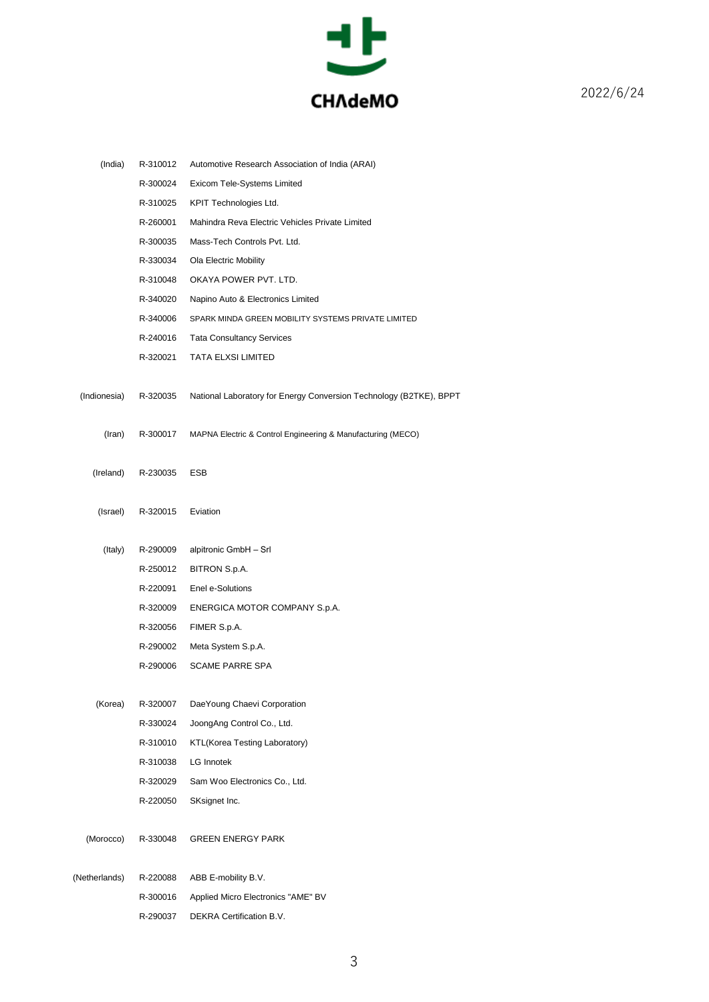

| (India)       | R-310012 | Automotive Research Association of India (ARAI)                    |
|---------------|----------|--------------------------------------------------------------------|
|               | R-300024 | Exicom Tele-Systems Limited                                        |
|               | R-310025 | KPIT Technologies Ltd.                                             |
|               | R-260001 | Mahindra Reva Electric Vehicles Private Limited                    |
|               | R-300035 | Mass-Tech Controls Pvt. Ltd.                                       |
|               | R-330034 | Ola Electric Mobility                                              |
|               | R-310048 | OKAYA POWER PVT. LTD.                                              |
|               | R-340020 | Napino Auto & Electronics Limited                                  |
|               | R-340006 | SPARK MINDA GREEN MOBILITY SYSTEMS PRIVATE LIMITED                 |
|               | R-240016 | <b>Tata Consultancy Services</b>                                   |
|               | R-320021 | TATA ELXSI LIMITED                                                 |
| (Indionesia)  | R-320035 | National Laboratory for Energy Conversion Technology (B2TKE), BPPT |
| (Iran)        | R-300017 | MAPNA Electric & Control Engineering & Manufacturing (MECO)        |
| (Ireland)     | R-230035 | ESB                                                                |
| (Israel)      | R-320015 | Eviation                                                           |
| (Italy)       | R-290009 | alpitronic GmbH - Srl                                              |
|               | R-250012 | BITRON S.p.A.                                                      |
|               | R-220091 | Enel e-Solutions                                                   |
|               | R-320009 | ENERGICA MOTOR COMPANY S.p.A.                                      |
|               | R-320056 | FIMER S.p.A.                                                       |
|               | R-290002 | Meta System S.p.A.                                                 |
|               | R-290006 | <b>SCAME PARRE SPA</b>                                             |
| (Korea)       | R-320007 | DaeYoung Chaevi Corporation                                        |
|               | R-330024 | JoongAng Control Co., Ltd.                                         |
|               | R-310010 | KTL(Korea Testing Laboratory)                                      |
|               | R-310038 | LG Innotek                                                         |
|               | R-320029 | Sam Woo Electronics Co., Ltd.                                      |
|               | R-220050 | SKsignet Inc.                                                      |
| (Morocco)     | R-330048 | <b>GREEN ENERGY PARK</b>                                           |
| (Netherlands) | R-220088 | ABB E-mobility B.V.                                                |
|               | R-300016 | Applied Micro Electronics "AME" BV                                 |
|               | R-290037 | DEKRA Certification B.V.                                           |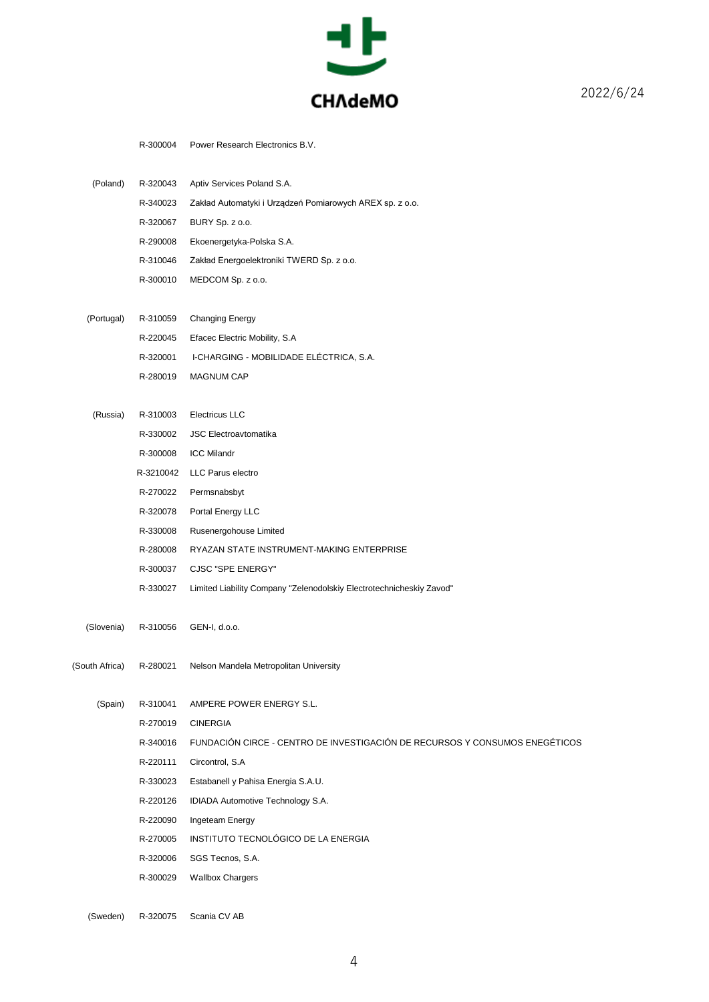

R-300004 Power Research Electronics B.V.

| (Poland) | R-320043 | Aptiv Services Poland S.A.                               |
|----------|----------|----------------------------------------------------------|
|          | R-340023 | Zakład Automatyki i Urządzeń Pomiarowych AREX sp. z o.o. |
|          | R-320067 | BURY Sp. z o.o.                                          |
|          | R-290008 | Ekoenergetyka-Polska S.A.                                |
|          | R-310046 | Zakład Energoelektroniki TWERD Sp. z o.o.                |
|          | R-300010 | MEDCOM Sp. z o.o.                                        |

|  | (Portugal) R-310059 Changing Energy              |
|--|--------------------------------------------------|
|  | R-220045 Efacec Electric Mobility, S.A.          |
|  | R-320001 I-CHARGING - MOBILIDADE ELÉCTRICA, S.A. |
|  | R-280019 MAGNUM CAP                              |

| (Russia) | R-310003  | Electricus LLC                                                       |
|----------|-----------|----------------------------------------------------------------------|
|          | R-330002  | <b>JSC Electroavtomatika</b>                                         |
|          | R-300008  | <b>ICC Milandr</b>                                                   |
|          | R-3210042 | LLC Parus electro                                                    |
|          | R-270022  | Permsnabsbyt                                                         |
|          | R-320078  | Portal Energy LLC                                                    |
|          | R-330008  | Rusenergohouse Limited                                               |
|          | R-280008  | RYAZAN STATE INSTRUMENT-MAKING ENTERPRISE                            |
|          | R-300037  | CJSC "SPE ENERGY"                                                    |
|          | R-330027  | Limited Liability Company "Zelenodolskiy Electrotechnicheskiy Zavod" |

(Slovenia) R-310056 GEN-I, d.o.o.

(South Africa) R-280021 Nelson Mandela Metropolitan University

(Spain) R-310041 AMPERE POWER ENERGY S.L.

R-270019 CINERGIA

- R-340016 FUNDACIÓN CIRCE CENTRO DE INVESTIGACIÓN DE RECURSOS Y CONSUMOS ENEGÉTICOS
- R-220111 Circontrol, S.A
- R-330023 Estabanell y Pahisa Energia S.A.U.
- R-220126 IDIADA Automotive Technology S.A.
- R-220090 Ingeteam Energy
- R-270005 INSTITUTO TECNOLÓGICO DE LA ENERGIA
- R-320006 SGS Tecnos, S.A.
- R-300029 Wallbox Chargers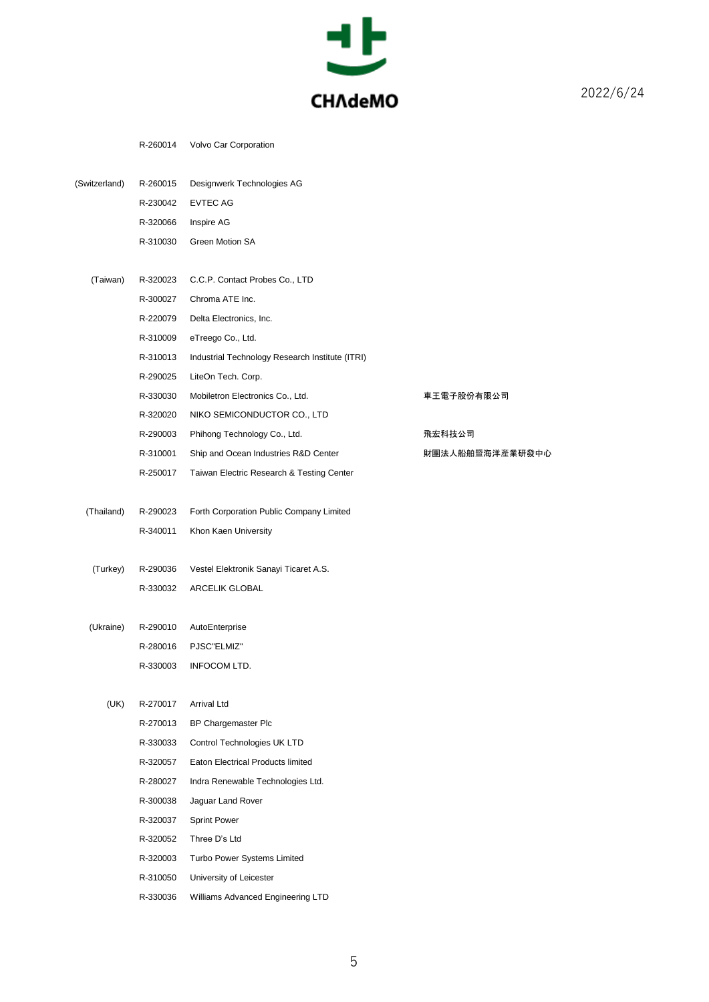

R-260014 Volvo Car Corporation

| (Switzerland) | R-260015 | Designwerk Technologies AG                      |                 |
|---------------|----------|-------------------------------------------------|-----------------|
|               | R-230042 | <b>EVTEC AG</b>                                 |                 |
|               | R-320066 | Inspire AG                                      |                 |
|               | R-310030 | Green Motion SA                                 |                 |
|               |          |                                                 |                 |
| (Taiwan)      | R-320023 | C.C.P. Contact Probes Co., LTD                  |                 |
|               | R-300027 | Chroma ATE Inc.                                 |                 |
|               | R-220079 | Delta Electronics, Inc.                         |                 |
|               | R-310009 | eTreego Co., Ltd.                               |                 |
|               | R-310013 | Industrial Technology Research Institute (ITRI) |                 |
|               | R-290025 | LiteOn Tech. Corp.                              |                 |
|               | R-330030 | Mobiletron Electronics Co., Ltd.                | 車王電子股份有限公司      |
|               | R-320020 | NIKO SEMICONDUCTOR CO., LTD                     |                 |
|               | R-290003 | Phihong Technology Co., Ltd.                    | 飛宏科技公司          |
|               | R-310001 | Ship and Ocean Industries R&D Center            | 財團法人船舶暨海洋產業研發中心 |
|               | R-250017 | Taiwan Electric Research & Testing Center       |                 |
|               |          |                                                 |                 |
| (Thailand)    | R-290023 | Forth Corporation Public Company Limited        |                 |
|               | R-340011 | Khon Kaen University                            |                 |
| (Turkey)      | R-290036 | Vestel Elektronik Sanayi Ticaret A.S.           |                 |
|               | R-330032 | ARCELIK GLOBAL                                  |                 |
|               |          |                                                 |                 |
| (Ukraine)     | R-290010 | AutoEnterprise                                  |                 |
|               | R-280016 | PJSC"ELMIZ"                                     |                 |
|               | R-330003 | INFOCOM LTD.                                    |                 |
|               |          |                                                 |                 |
| (UK)          | R-270017 | Arrival Ltd                                     |                 |
|               | R-270013 | BP Chargemaster Plc                             |                 |
|               | R-330033 | Control Technologies UK LTD                     |                 |
|               | R-320057 | Eaton Electrical Products limited               |                 |
|               | R-280027 | Indra Renewable Technologies Ltd.               |                 |
|               | R-300038 | Jaguar Land Rover                               |                 |
|               | R-320037 | <b>Sprint Power</b>                             |                 |
|               | R-320052 | Three D's Ltd                                   |                 |
|               | R-320003 | Turbo Power Systems Limited                     |                 |
|               | R-310050 | University of Leicester                         |                 |

R-330036 Williams Advanced Engineering LTD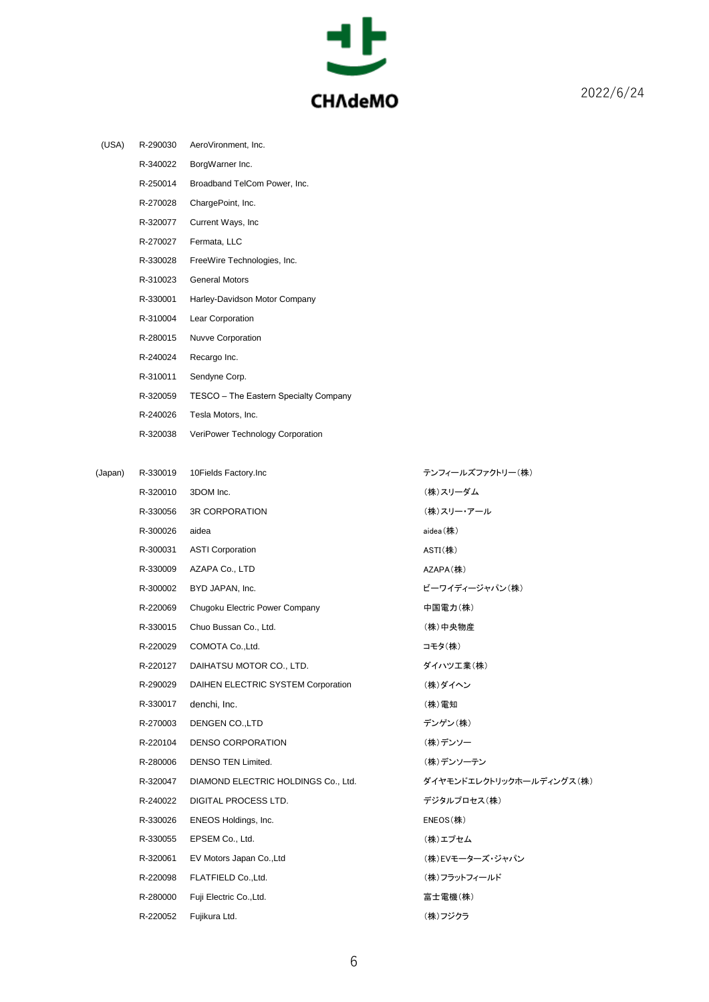

| (USA)   | R-290030 | AeroVironment, Inc.                   |                          |
|---------|----------|---------------------------------------|--------------------------|
|         | R-340022 | BorgWarner Inc.                       |                          |
|         | R-250014 | Broadband TelCom Power, Inc.          |                          |
|         | R-270028 | ChargePoint, Inc.                     |                          |
|         | R-320077 | Current Ways, Inc.                    |                          |
|         | R-270027 | Fermata, LLC                          |                          |
|         | R-330028 | FreeWire Technologies, Inc.           |                          |
|         | R-310023 | <b>General Motors</b>                 |                          |
|         | R-330001 | Harley-Davidson Motor Company         |                          |
|         | R-310004 | Lear Corporation                      |                          |
|         | R-280015 | <b>Nuvve Corporation</b>              |                          |
|         | R-240024 | Recargo Inc.                          |                          |
|         | R-310011 | Sendyne Corp.                         |                          |
|         | R-320059 | TESCO - The Eastern Specialty Company |                          |
|         | R-240026 | Tesla Motors, Inc.                    |                          |
|         | R-320038 | VeriPower Technology Corporation      |                          |
|         |          |                                       |                          |
| (Japan) | R-330019 | 10Fields Factory.Inc                  | テンフィールズファクトリー(株)         |
|         | R-320010 | 3DOM Inc.                             | (株)スリーダム                 |
|         | R-330056 | <b>3R CORPORATION</b>                 | (株)スリー・アール               |
|         | R-300026 | aidea                                 | aidea(株)                 |
|         | R-300031 | <b>ASTI Corporation</b>               | $ASTI$ (株)               |
|         | R-330009 | AZAPA Co., LTD                        | AZAPA(株)                 |
|         | R-300002 | BYD JAPAN, Inc.                       | ビーワイディージャパン(株)           |
|         | R-220069 | Chugoku Electric Power Company        | 中国電力(株)                  |
|         | R-330015 | Chuo Bussan Co., Ltd.                 | (株)中央物産                  |
|         | R-220029 | COMOTA Co., Ltd.                      | コモタ(株)                   |
|         | R-220127 | DAIHATSU MOTOR CO., LTD.              | ダイハツエ業(株)                |
|         | R-290029 | DAIHEN ELECTRIC SYSTEM Corporation    | (株)ダイヘン                  |
|         | R-330017 | denchi, Inc.                          | (株)電知                    |
|         | R-270003 | DENGEN CO., LTD                       | デンゲン(株)                  |
|         | R-220104 | DENSO CORPORATION                     | (株)デンソー                  |
|         | R-280006 | <b>DENSO TEN Limited.</b>             | (株)デンソーテン                |
|         | R-320047 | DIAMOND ELECTRIC HOLDINGS Co., Ltd.   | ダイヤモンドエレクトリックホールディングス(株) |
|         | R-240022 | DIGITAL PROCESS LTD.                  | デジタルプロセス(株)              |
|         | R-330026 | ENEOS Holdings, Inc.                  | $ENEOS$ (株)              |
|         | R-330055 | EPSEM Co., Ltd.                       | (株)エプセム                  |
|         | R-320061 | EV Motors Japan Co., Ltd              | (株)EVモーターズ・ジャパン          |
|         | R-220098 | FLATFIELD Co., Ltd.                   | (株)フラットフィールド             |
|         | R-280000 | Fuji Electric Co., Ltd.               | 富士電機(株)                  |
|         | R-220052 | Fujikura Ltd.                         | (株)フジクラ                  |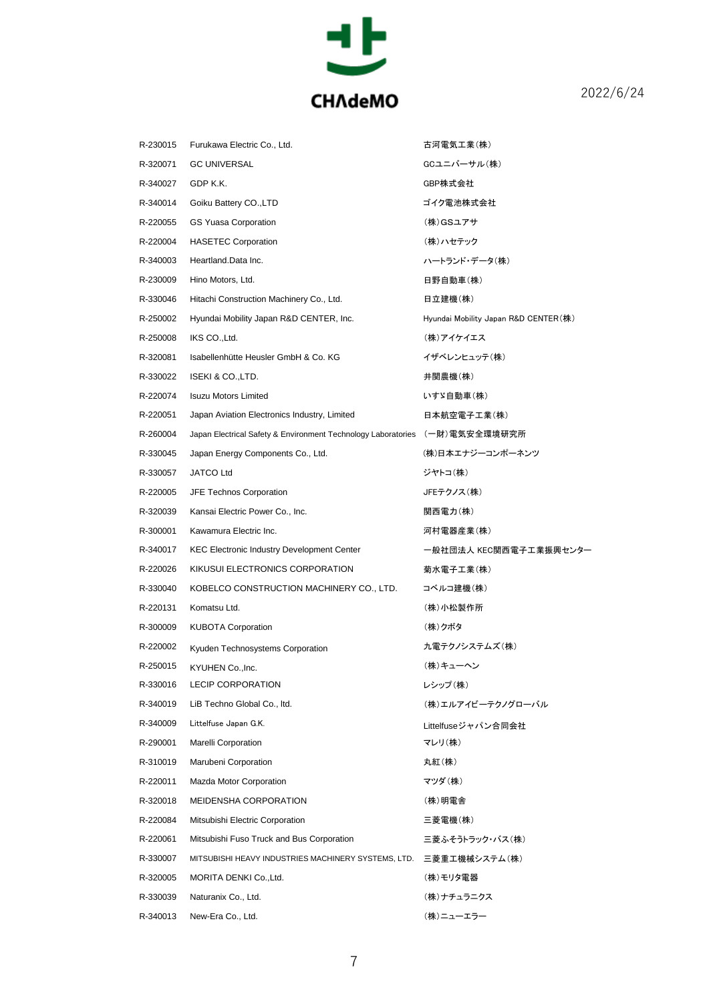

| R-230015 | Furukawa Electric Co., Ltd.                                   | 古河電気工業(株)                            |
|----------|---------------------------------------------------------------|--------------------------------------|
| R-320071 | <b>GC UNIVERSAL</b>                                           | GCユニバーサル(株)                          |
| R-340027 | GDP K.K.                                                      | GBP株式会社                              |
| R-340014 | Goiku Battery CO., LTD                                        | ゴイク電池株式会社                            |
| R-220055 | <b>GS Yuasa Corporation</b>                                   | (株)GSユアサ                             |
| R-220004 | <b>HASETEC Corporation</b>                                    | (株)ハセテック                             |
| R-340003 | Heartland.Data Inc.                                           | ハートランド・データ(株)                        |
| R-230009 | Hino Motors, Ltd.                                             | 日野自動車(株)                             |
| R-330046 | Hitachi Construction Machinery Co., Ltd.                      | 日立建機(株)                              |
| R-250002 | Hyundai Mobility Japan R&D CENTER, Inc.                       | Hyundai Mobility Japan R&D CENTER(株) |
| R-250008 | IKS CO., Ltd.                                                 | (株)アイケイエス                            |
| R-320081 | Isabellenhütte Heusler GmbH & Co. KG                          | イザベレンヒュッテ(株)                         |
| R-330022 | ISEKI & CO., LTD.                                             | 井関農機(株)                              |
| R-220074 | <b>Isuzu Motors Limited</b>                                   | いすゞ自動車(株)                            |
| R-220051 | Japan Aviation Electronics Industry, Limited                  | 日本航空電子工業(株)                          |
| R-260004 | Japan Electrical Safety & Environment Technology Laboratories | (一財)電気安全環境研究所                        |
| R-330045 | Japan Energy Components Co., Ltd.                             | (株)日本エナジーコンポーネンツ                     |
| R-330057 | <b>JATCO Ltd</b>                                              | ジヤトコ(株)                              |
| R-220005 | JFE Technos Corporation                                       | JFEテクノス(株)                           |
| R-320039 | Kansai Electric Power Co., Inc.                               | 関西電力(株)                              |
| R-300001 | Kawamura Electric Inc.                                        | 河村電器産業(株)                            |
| R-340017 | <b>KEC Electronic Industry Development Center</b>             | 一般社団法人 KEC関西電子工業振興センター               |
| R-220026 | KIKUSUI ELECTRONICS CORPORATION                               | 菊水電子工業(株)                            |
| R-330040 | KOBELCO CONSTRUCTION MACHINERY CO., LTD.                      | コベルコ建機(株)                            |
| R-220131 | Komatsu Ltd.                                                  | (株)小松製作所                             |
| R-300009 | <b>KUBOTA Corporation</b>                                     | (株)クボタ                               |
| R-220002 | Kyuden Technosystems Corporation                              | 九電テクノシステムズ(株)                        |
| R-250015 | KYUHEN Co., Inc.                                              | (株)キューヘン                             |
| R-330016 | <b>LECIP CORPORATION</b>                                      | レシップ(株)                              |
| R-340019 | LiB Techno Global Co., Itd.                                   | (株)エルアイビーテクノグローバル                    |
| R-340009 | Littelfuse Japan G.K.                                         | Littelfuseジャパン合同会社                   |
| R-290001 | <b>Marelli Corporation</b>                                    | マレリ(株)                               |
| R-310019 | Marubeni Corporation                                          | 丸紅(株)                                |
| R-220011 | Mazda Motor Corporation                                       | マツダ(株)                               |
| R-320018 | <b>MEIDENSHA CORPORATION</b>                                  | (株)明電舎                               |
| R-220084 | Mitsubishi Electric Corporation                               | 三菱電機(株)                              |
| R-220061 | Mitsubishi Fuso Truck and Bus Corporation                     | 三菱ふそうトラック・バス(株)                      |
| R-330007 | MITSUBISHI HEAVY INDUSTRIES MACHINERY SYSTEMS, LTD.           | 三菱重工機械システム(株)                        |
| R-320005 | MORITA DENKI Co., Ltd.                                        | (株)モリタ電器                             |
| R-330039 | Naturanix Co., Ltd.                                           | (株)ナチュラニクス                           |
| R-340013 | New-Era Co., Ltd.                                             | (株)ニューエラー                            |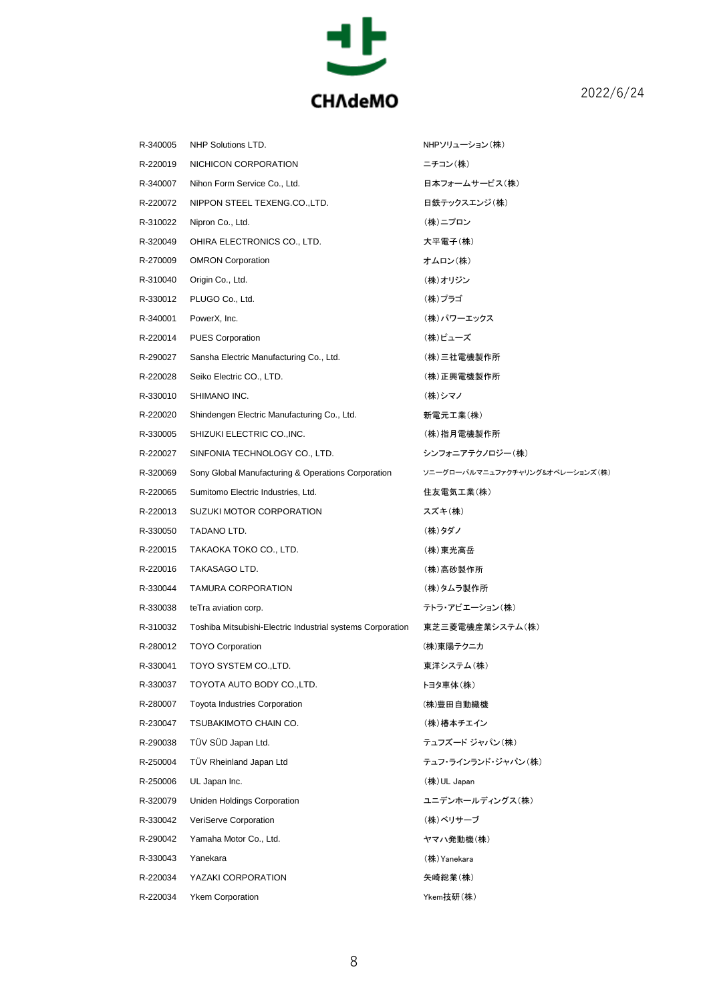

| R-340005 | NHP Solutions LTD.                                         | NHPソリューション(株)                   |
|----------|------------------------------------------------------------|---------------------------------|
| R-220019 | NICHICON CORPORATION                                       | ニチコン(株)                         |
| R-340007 | Nihon Form Service Co., Ltd.                               | 日本フォームサービス(株)                   |
| R-220072 | NIPPON STEEL TEXENG.CO.,LTD.                               | 日鉄テックスエンジ(株)                    |
| R-310022 | Nipron Co., Ltd.                                           | (株)ニプロン                         |
| R-320049 | OHIRA ELECTRONICS CO., LTD.                                | 大平電子(株)                         |
| R-270009 | <b>OMRON Corporation</b>                                   | オムロン(株)                         |
| R-310040 | Origin Co., Ltd.                                           | (株)オリジン                         |
| R-330012 | PLUGO Co., Ltd.                                            | (株)プラゴ                          |
| R-340001 | PowerX, Inc.                                               | (株)パワーエックス                      |
| R-220014 | <b>PUES Corporation</b>                                    | (株)ピューズ                         |
| R-290027 | Sansha Electric Manufacturing Co., Ltd.                    | (株)三社電機製作所                      |
| R-220028 | Seiko Electric CO., LTD.                                   | (株)正興電機製作所                      |
| R-330010 | SHIMANO INC.                                               | (株)シマノ                          |
| R-220020 | Shindengen Electric Manufacturing Co., Ltd.                | 新電元工業(株)                        |
| R-330005 | SHIZUKI ELECTRIC CO., INC.                                 | (株)指月電機製作所                      |
| R-220027 | SINFONIA TECHNOLOGY CO., LTD.                              | シンフォニアテクノロジー(株)                 |
| R-320069 | Sony Global Manufacturing & Operations Corporation         | ソニーグローバルマニュファクチャリング&オペレーションズ(株) |
| R-220065 | Sumitomo Electric Industries, Ltd.                         | 住友電気工業(株)                       |
| R-220013 | SUZUKI MOTOR CORPORATION                                   | スズキ(株)                          |
| R-330050 | TADANO LTD.                                                | (株)タダノ                          |
| R-220015 | TAKAOKA TOKO CO., LTD.                                     | (株)東光高岳                         |
| R-220016 | TAKASAGO LTD.                                              | (株)高砂製作所                        |
| R-330044 | TAMURA CORPORATION                                         | (株)タムラ製作所                       |
| R-330038 | teTra aviation corp.                                       | テトラ・アビエーション(株)                  |
| R-310032 | Toshiba Mitsubishi-Electric Industrial systems Corporation | 東芝三菱電機産業システム(株)                 |
| R-280012 | <b>TOYO Corporation</b>                                    | (株)東陽テクニカ                       |
| R-330041 | TOYO SYSTEM CO.,LTD.                                       | 東洋システム(株)                       |
| R-330037 | TOYOTA AUTO BODY CO.,LTD.                                  | トヨタ車体(株)                        |
| R-280007 | <b>Toyota Industries Corporation</b>                       | (株)豊田自動織機                       |
| R-230047 | TSUBAKIMOTO CHAIN CO.                                      | (株)椿本チエイン                       |
| R-290038 | TÜV SÜD Japan Ltd.                                         | テュフズード ジャパン(株)                  |
| R-250004 | TÜV Rheinland Japan Ltd                                    | テュフ・ラインランド・ジャパン(株)              |
| R-250006 | UL Japan Inc.                                              | (株) UL Japan                    |
| R-320079 | Uniden Holdings Corporation                                | ユニデンホールディングス(株)                 |
| R-330042 | VeriServe Corporation                                      | (株)ベリサーブ                        |
| R-290042 | Yamaha Motor Co., Ltd.                                     | ヤマハ発動機(株)                       |
| R-330043 | Yanekara                                                   | (株) Yanekara                    |
| R-220034 | YAZAKI CORPORATION                                         | 矢崎総業(株)                         |
| R-220034 | <b>Ykem Corporation</b>                                    | Ykem技研(株)                       |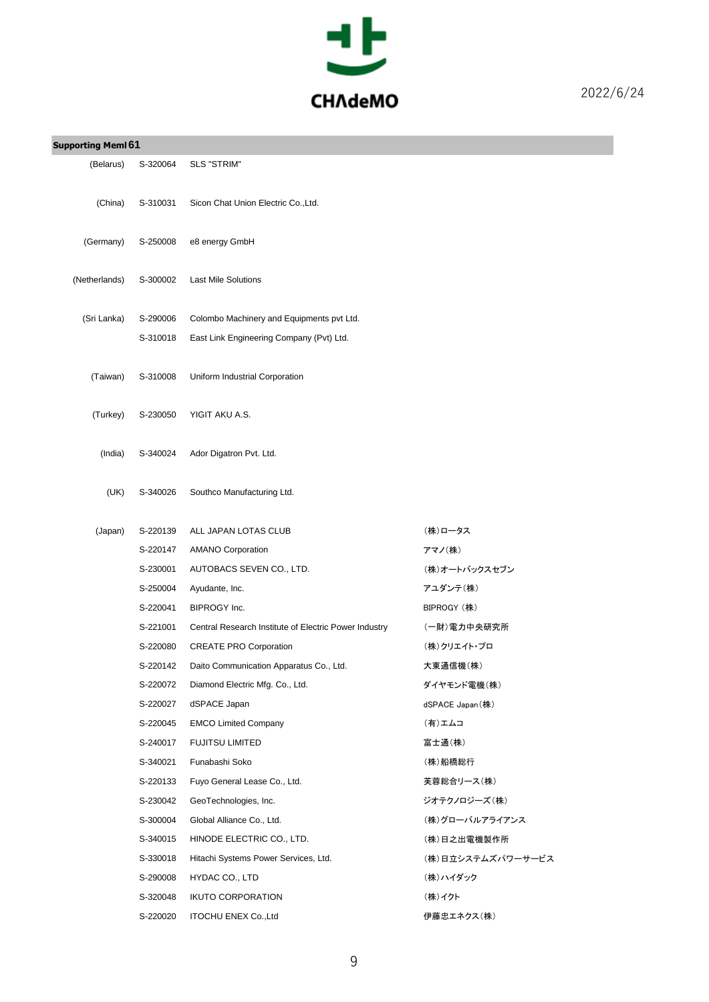

| <b>Supporting Meml 61</b> |          |                                                       |                   |
|---------------------------|----------|-------------------------------------------------------|-------------------|
| (Belarus)                 | S-320064 | <b>SLS "STRIM"</b>                                    |                   |
| (China)                   | S-310031 | Sicon Chat Union Electric Co., Ltd.                   |                   |
| (Germany)                 | S-250008 | e8 energy GmbH                                        |                   |
| (Netherlands)             | S-300002 | <b>Last Mile Solutions</b>                            |                   |
| (Sri Lanka)               | S-290006 | Colombo Machinery and Equipments pvt Ltd.             |                   |
|                           | S-310018 | East Link Engineering Company (Pvt) Ltd.              |                   |
| (Taiwan)                  | S-310008 | Uniform Industrial Corporation                        |                   |
| (Turkey)                  | S-230050 | YIGIT AKU A.S.                                        |                   |
| (India)                   | S-340024 | Ador Digatron Pvt. Ltd.                               |                   |
| (UK)                      | S-340026 | Southco Manufacturing Ltd.                            |                   |
| (Japan)                   | S-220139 | ALL JAPAN LOTAS CLUB                                  | (株)ロータス           |
|                           | S-220147 | <b>AMANO Corporation</b>                              | アマノ(株)            |
|                           | S-230001 | AUTOBACS SEVEN CO., LTD.                              | (株)オートバックスセブン     |
|                           | S-250004 | Ayudante, Inc.                                        | アユダンテ(株)          |
|                           | S-220041 | BIPROGY Inc.                                          | BIPROGY (株)       |
|                           | S-221001 | Central Research Institute of Electric Power Industry | (一財)電力中央研究所       |
|                           | S-220080 | <b>CREATE PRO Corporation</b>                         | (株)クリエイト・プロ       |
|                           | S-220142 | Daito Communication Apparatus Co., Ltd.               | 大東通信機(株)          |
|                           | S-220072 | Diamond Electric Mfg. Co., Ltd.                       | ダイヤモンド電機(株)       |
|                           | S-220027 | dSPACE Japan                                          | dSPACE Japan(株)   |
|                           | S-220045 | <b>EMCO Limited Company</b>                           | (有)エムコ            |
|                           | S-240017 | <b>FUJITSU LIMITED</b>                                | 富士通(株)            |
|                           | S-340021 | Funabashi Soko                                        | (株)船橋総行           |
|                           | S-220133 | Fuyo General Lease Co., Ltd.                          | 芙蓉総合リース(株)        |
|                           | S-230042 | GeoTechnologies, Inc.                                 | ジオテクノロジーズ(株)      |
|                           | S-300004 | Global Alliance Co., Ltd.                             | (株)グローバルアライアンス    |
|                           | S-340015 | HINODE ELECTRIC CO., LTD.                             | (株)日之出電機製作所       |
|                           | S-330018 | Hitachi Systems Power Services, Ltd.                  | (株)日立システムズパワーサービス |
|                           | S-290008 | HYDAC CO., LTD                                        | (株)ハイダック          |
|                           | S-320048 | <b>IKUTO CORPORATION</b>                              | (株)イクト            |
|                           | S-220020 | <b>ITOCHU ENEX Co., Ltd</b>                           | 伊藤忠エネクス(株)        |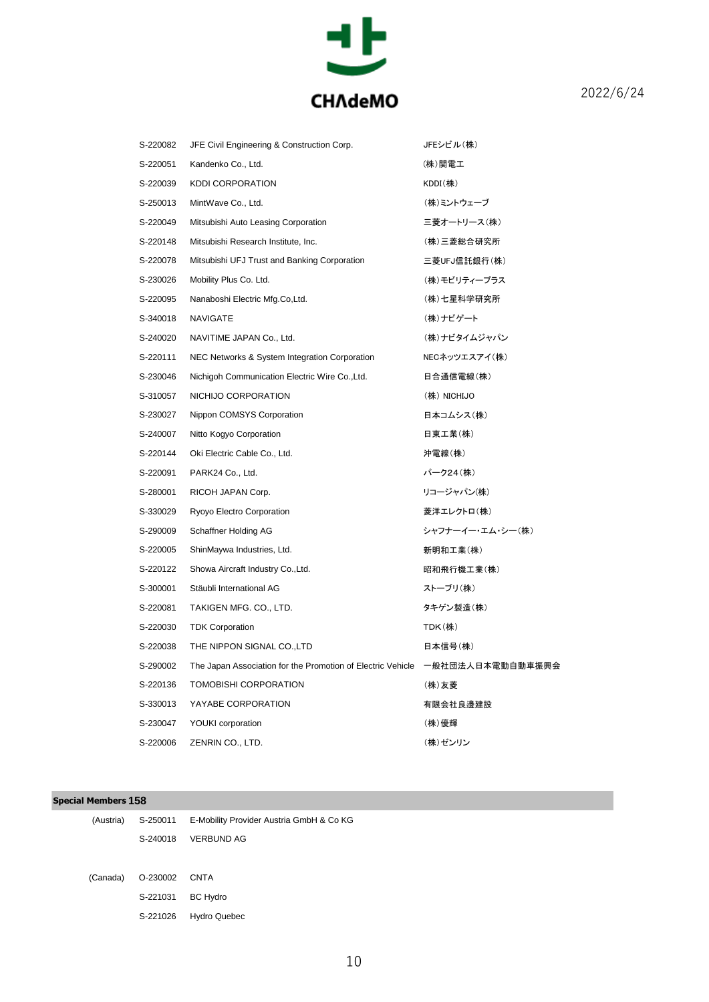

| S-220082 | JFE Civil Engineering & Construction Corp.                  | JFEシビル(株)        |
|----------|-------------------------------------------------------------|------------------|
| S-220051 | Kandenko Co., Ltd.                                          | (株)関電工           |
| S-220039 | <b>KDDI CORPORATION</b>                                     | $KDDI$ (株)       |
| S-250013 | MintWave Co., Ltd.                                          | (株)ミントウェーブ       |
| S-220049 | Mitsubishi Auto Leasing Corporation                         | 三菱オートリース(株)      |
| S-220148 | Mitsubishi Research Institute, Inc.                         | (株)三菱総合研究所       |
| S-220078 | Mitsubishi UFJ Trust and Banking Corporation                | 三菱UFJ信託銀行(株)     |
| S-230026 | Mobility Plus Co. Ltd.                                      | (株)モビリティープラス     |
| S-220095 | Nanaboshi Electric Mfg.Co,Ltd.                              | (株)七星科学研究所       |
| S-340018 | <b>NAVIGATE</b>                                             | (株)ナビゲート         |
| S-240020 | NAVITIME JAPAN Co., Ltd.                                    | (株)ナビタイムジャパン     |
| S-220111 | NEC Networks & System Integration Corporation               | NECネッツエスアイ(株)    |
| S-230046 | Nichigoh Communication Electric Wire Co., Ltd.              | 日合通信電線(株)        |
| S-310057 | NICHIJO CORPORATION                                         | (株) NICHIJO      |
| S-230027 | Nippon COMSYS Corporation                                   | 日本コムシス(株)        |
| S-240007 | Nitto Kogyo Corporation                                     | 日東工業(株)          |
| S-220144 | Oki Electric Cable Co., Ltd.                                | 沖電線(株)           |
| S-220091 | PARK24 Co., Ltd.                                            | パーク24(株)         |
| S-280001 | RICOH JAPAN Corp.                                           | リコージャパン(株)       |
| S-330029 | Ryoyo Electro Corporation                                   | 菱洋エレクトロ(株)       |
| S-290009 | Schaffner Holding AG                                        | シャフナーイー・エム・シー(株) |
| S-220005 | ShinMaywa Industries, Ltd.                                  | 新明和工業(株)         |
| S-220122 | Showa Aircraft Industry Co., Ltd.                           | 昭和飛行機工業(株)       |
| S-300001 | Stäubli International AG                                    | ストーブリ(株)         |
| S-220081 | TAKIGEN MFG. CO., LTD.                                      | タキゲン製造(株)        |
| S-220030 | <b>TDK Corporation</b>                                      | TDK(株)           |
| S-220038 | THE NIPPON SIGNAL CO., LTD                                  | 日本信号(株)          |
| S-290002 | The Japan Association for the Promotion of Electric Vehicle | 一般社団法人日本電動自動車振興会 |
| S-220136 | TOMOBISHI CORPORATION                                       | (株)友菱            |
| S-330013 | YAYABE CORPORATION                                          | 有限会社良邊建設         |
| S-230047 | YOUKI corporation                                           | (株)優輝            |
| S-220006 | ZENRIN CO., LTD.                                            | (株)ゼンリン          |

### **Special Members 158**

|                        | (Austria) S-250011 E-Mobility Provider Austria GmbH & Co KG |
|------------------------|-------------------------------------------------------------|
|                        | S-240018 VERBUND AG                                         |
|                        |                                                             |
| (Canada) 0-230002 CNTA |                                                             |
| S-221031               | <b>BC Hydro</b>                                             |
| S-221026               | <b>Hydro Quebec</b>                                         |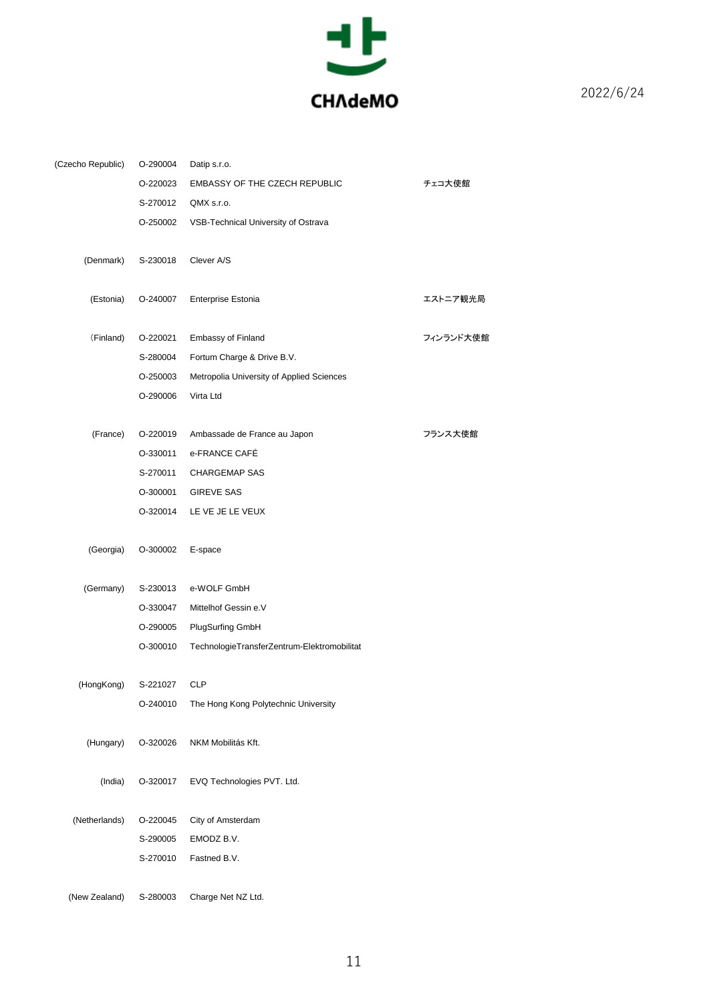

| (Czecho Republic) | O-290004 | Datip s.r.o.                                |           |
|-------------------|----------|---------------------------------------------|-----------|
|                   | O-220023 | <b>EMBASSY OF THE CZECH REPUBLIC</b>        | チェコ大使館    |
|                   | S-270012 | QMX s.r.o.                                  |           |
|                   | O-250002 | VSB-Technical University of Ostrava         |           |
| (Denmark)         | S-230018 | Clever A/S                                  |           |
| (Estonia)         | O-240007 | Enterprise Estonia                          | エストニア観光局  |
| (Finland)         | O-220021 | <b>Embassy of Finland</b>                   | フィンランド大使館 |
|                   | S-280004 | Fortum Charge & Drive B.V.                  |           |
|                   | O-250003 | Metropolia University of Applied Sciences   |           |
|                   | O-290006 | Virta Ltd                                   |           |
| (France)          | O-220019 | Ambassade de France au Japon                | フランス大使館   |
|                   | O-330011 | e-FRANCE CAFÉ                               |           |
|                   | S-270011 | <b>CHARGEMAP SAS</b>                        |           |
|                   | O-300001 | <b>GIREVE SAS</b>                           |           |
|                   | O-320014 | LE VE JE LE VEUX                            |           |
| (Georgia)         | O-300002 | E-space                                     |           |
| (Germany)         | S-230013 | e-WOLF GmbH                                 |           |
|                   | O-330047 | Mittelhof Gessin e.V                        |           |
|                   | O-290005 | <b>PlugSurfing GmbH</b>                     |           |
|                   | O-300010 | TechnologieTransferZentrum-Elektromobilitat |           |
| (HongKong)        | S-221027 | <b>CLP</b>                                  |           |
|                   | O-240010 | The Hong Kong Polytechnic University        |           |
| (Hungary)         | O-320026 | NKM Mobilitás Kft.                          |           |
| (India)           | O-320017 | EVQ Technologies PVT. Ltd.                  |           |
| (Netherlands)     | O-220045 | City of Amsterdam                           |           |
|                   | S-290005 | EMODZ B.V.                                  |           |
|                   | S-270010 | Fastned B.V.                                |           |
| (New Zealand)     | S-280003 | Charge Net NZ Ltd.                          |           |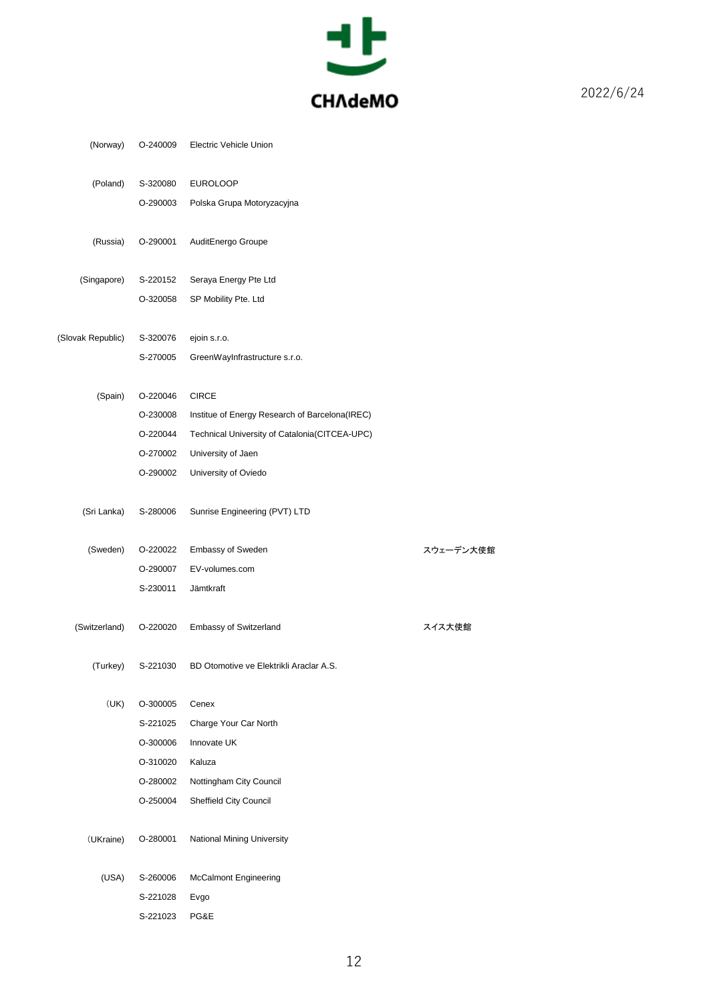

| (Norway)          | O-240009             | Electric Vehicle Union                         |           |
|-------------------|----------------------|------------------------------------------------|-----------|
| (Poland)          | S-320080             | <b>EUROLOOP</b>                                |           |
|                   | O-290003             | Polska Grupa Motoryzacyjna                     |           |
|                   |                      |                                                |           |
| (Russia)          | O-290001             | AuditEnergo Groupe                             |           |
|                   |                      |                                                |           |
| (Singapore)       | S-220152             | Seraya Energy Pte Ltd                          |           |
|                   | O-320058             | SP Mobility Pte. Ltd                           |           |
|                   |                      |                                                |           |
| (Slovak Republic) | S-320076             | ejoin s.r.o.                                   |           |
|                   | S-270005             | GreenWayInfrastructure s.r.o.                  |           |
| (Spain)           | O-220046             | <b>CIRCE</b>                                   |           |
|                   | O-230008             | Institue of Energy Research of Barcelona(IREC) |           |
|                   | O-220044             | Technical University of Catalonia (CITCEA-UPC) |           |
|                   | O-270002             | University of Jaen                             |           |
|                   | O-290002             | University of Oviedo                           |           |
|                   |                      |                                                |           |
| (Sri Lanka)       | S-280006             | Sunrise Engineering (PVT) LTD                  |           |
|                   |                      |                                                |           |
| (Sweden)          | O-220022             | <b>Embassy of Sweden</b>                       | スウェーデン大使館 |
|                   | O-290007             | EV-volumes.com                                 |           |
|                   | S-230011             | Jämtkraft                                      |           |
|                   |                      |                                                |           |
|                   |                      |                                                |           |
| (Switzerland)     | O-220020             | Embassy of Switzerland                         | スイス大使館    |
|                   |                      |                                                |           |
| (Turkey)          | S-221030             | BD Otomotive ve Elektrikli Araclar A.S.        |           |
| (UK)              | O-300005             | Cenex                                          |           |
|                   | S-221025             | Charge Your Car North                          |           |
|                   | O-300006             | Innovate UK                                    |           |
|                   | O-310020             | Kaluza                                         |           |
|                   | O-280002             | Nottingham City Council                        |           |
|                   | O-250004             | Sheffield City Council                         |           |
|                   |                      |                                                |           |
| (UKraine)         | O-280001             | <b>National Mining University</b>              |           |
|                   |                      |                                                |           |
| (USA)             | S-260006             | <b>McCalmont Engineering</b>                   |           |
|                   | S-221028<br>S-221023 | Evgo<br>PG&E                                   |           |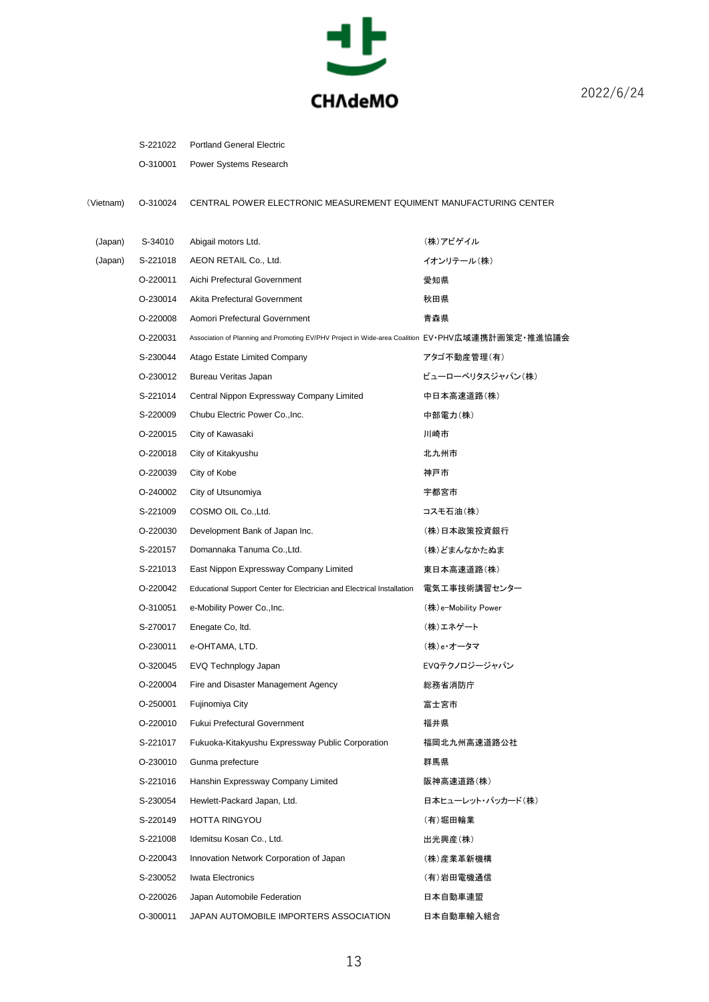

| <b>Portland General Electric</b><br>S-221022 |
|----------------------------------------------|
|----------------------------------------------|

O-310001 Power Systems Research

(Vietnam) O-310024 CENTRAL POWER ELECTRONIC MEASUREMENT EQUIMENT MANUFACTURING CENTER

| (Japan) | S-34010  | Abigail motors Ltd.                                                                              | (株)アビゲイル            |
|---------|----------|--------------------------------------------------------------------------------------------------|---------------------|
| (Japan) | S-221018 | AEON RETAIL Co., Ltd.                                                                            | イオンリテール(株)          |
|         | O-220011 | Aichi Prefectural Government                                                                     | 愛知県                 |
|         | O-230014 | Akita Prefectural Government                                                                     | 秋田県                 |
|         | O-220008 | Aomori Prefectural Government                                                                    | 青森県                 |
|         | O-220031 | Association of Planning and Promoting EV/PHV Project in Wide-area Coalition EV•PHV広域連携計画策定•推進協議会 |                     |
|         | S-230044 | Atago Estate Limited Company                                                                     | アタゴ不動産管理(有)         |
|         | O-230012 | Bureau Veritas Japan                                                                             | ビューローベリタスジャパン(株)    |
|         | S-221014 | Central Nippon Expressway Company Limited                                                        | 中日本高速道路(株)          |
|         | S-220009 | Chubu Electric Power Co., Inc.                                                                   | 中部電力(株)             |
|         | O-220015 | City of Kawasaki                                                                                 | 川崎市                 |
|         | O-220018 | City of Kitakyushu                                                                               | 北九州市                |
|         | O-220039 | City of Kobe                                                                                     | 神戸市                 |
|         | O-240002 | City of Utsunomiya                                                                               | 宇都宮市                |
|         | S-221009 | COSMO OIL Co., Ltd.                                                                              | コスモ石油(株)            |
|         | O-220030 | Development Bank of Japan Inc.                                                                   | (株)日本政策投資銀行         |
|         | S-220157 | Domannaka Tanuma Co., Ltd.                                                                       | (株)どまんなかたぬま         |
|         | S-221013 | East Nippon Expressway Company Limited                                                           | 東日本高速道路(株)          |
|         | O-220042 | Educational Support Center for Electrician and Electrical Installation                           | 電気工事技術講習センター        |
|         | O-310051 | e-Mobility Power Co., Inc.                                                                       | (株)e-Mobility Power |
|         | S-270017 | Enegate Co, Itd.                                                                                 | (株)エネゲート            |
|         | O-230011 | e-OHTAMA, LTD.                                                                                   | (株)e・オータマ           |
|         | O-320045 | EVQ Technplogy Japan                                                                             | EVQテクノロジージャパン       |
|         | O-220004 | Fire and Disaster Management Agency                                                              | 総務省消防庁              |
|         | O-250001 | Fujinomiya City                                                                                  | 富士宮市                |
|         | O-220010 | <b>Fukui Prefectural Government</b>                                                              | 福井県                 |
|         | S-221017 | Fukuoka-Kitakyushu Expressway Public Corporation                                                 | 福岡北九州高速道路公社         |
|         | O-230010 | Gunma prefecture                                                                                 | 群馬県                 |
|         | S-221016 | Hanshin Expressway Company Limited                                                               | 阪神高速道路(株)           |
|         | S-230054 | Hewlett-Packard Japan, Ltd.                                                                      | 日本ヒューレット・パッカード(株)   |
|         | S-220149 | HOTTA RINGYOU                                                                                    | (有)堀田輪業             |
|         | S-221008 | Idemitsu Kosan Co., Ltd.                                                                         | 出光興産(株)             |
|         | O-220043 | Innovation Network Corporation of Japan                                                          | (株)産業革新機構           |
|         | S-230052 | Iwata Electronics                                                                                | (有)岩田電機通信           |
|         | O-220026 | Japan Automobile Federation                                                                      | 日本自動車連盟             |
|         | O-300011 | JAPAN AUTOMOBILE IMPORTERS ASSOCIATION                                                           | 日本自動車輸入組合           |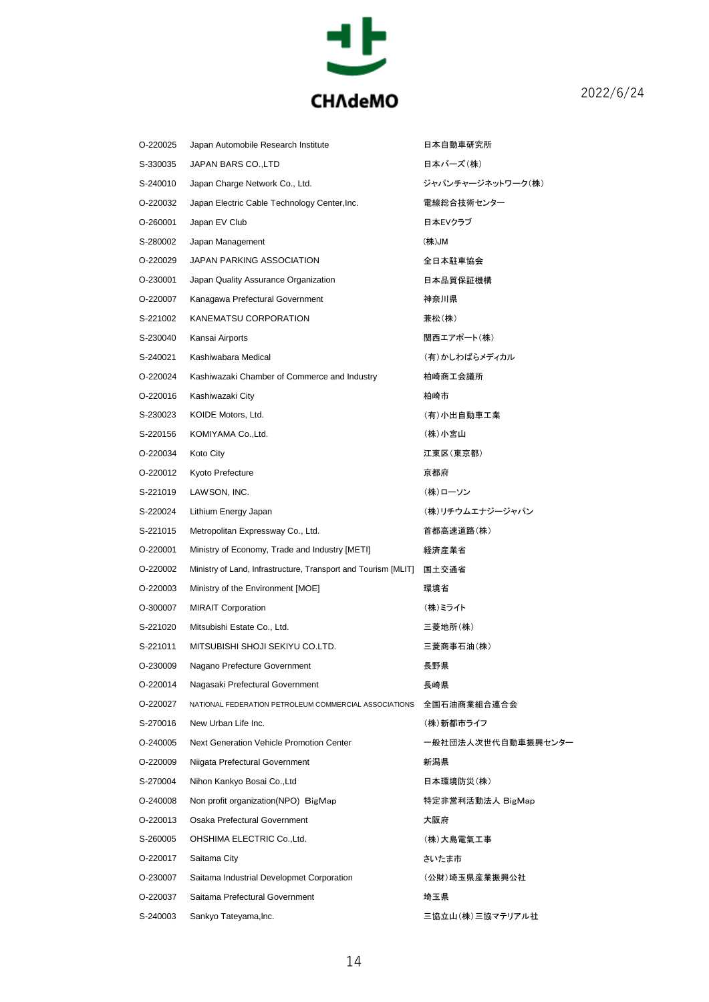

| O-220025 | Japan Automobile Research Institute                                  | 日本自動車研究所           |
|----------|----------------------------------------------------------------------|--------------------|
| S-330035 | JAPAN BARS CO., LTD                                                  | 日本バーズ(株)           |
| S-240010 | Japan Charge Network Co., Ltd.                                       | ジャパンチャージネットワーク(株)  |
| O-220032 | Japan Electric Cable Technology Center, Inc.                         | 電線総合技術センター         |
| O-260001 | Japan EV Club                                                        | 日本EVクラブ            |
| S-280002 | Japan Management                                                     | (株)JM              |
| O-220029 | JAPAN PARKING ASSOCIATION                                            | 全日本駐車協会            |
| O-230001 | Japan Quality Assurance Organization                                 | 日本品質保証機構           |
| O-220007 | Kanagawa Prefectural Government                                      | 神奈川県               |
| S-221002 | KANEMATSU CORPORATION                                                | 兼松(株)              |
| S-230040 | Kansai Airports                                                      | 関西エアポート(株)         |
| S-240021 | Kashiwabara Medical                                                  | (有)かしわばらメディカル      |
| O-220024 | Kashiwazaki Chamber of Commerce and Industry                         | 柏崎商工会議所            |
| O-220016 | Kashiwazaki City                                                     | 柏崎市                |
| S-230023 | KOIDE Motors, Ltd.                                                   | (有)小出自動車工業         |
| S-220156 | KOMIYAMA Co., Ltd.                                                   | (株)小宮山             |
| O-220034 | Koto City                                                            | 江東区(東京都)           |
| O-220012 | Kyoto Prefecture                                                     | 京都府                |
| S-221019 | LAWSON, INC.                                                         | (株)ローソン            |
| S-220024 | Lithium Energy Japan                                                 | (株)リチウムエナジージャパン    |
| S-221015 | Metropolitan Expressway Co., Ltd.                                    | 首都高速道路(株)          |
| O-220001 | Ministry of Economy, Trade and Industry [METI]                       | 経済産業省              |
| O-220002 | Ministry of Land, Infrastructure, Transport and Tourism [MLIT] 国土交通省 |                    |
| O-220003 | Ministry of the Environment [MOE]                                    | 環境省                |
| O-300007 | <b>MIRAIT Corporation</b>                                            | (株)ミライト            |
| S-221020 | Mitsubishi Estate Co., Ltd.                                          | 三菱地所(株)            |
| S-221011 | MITSUBISHI SHOJI SEKIYU CO.LTD.                                      | 三菱商事石油(株)          |
| O-230009 | Nagano Prefecture Government                                         | 長野県                |
| O-220014 | Nagasaki Prefectural Government                                      | 長崎県                |
| 0-220027 | NATIONAL FEDERATION PETROLEUM COMMERCIAL ASSOCIATIONS                | 全国石油商業組合連合会        |
| S-270016 | New Urban Life Inc.                                                  | (株)新都市ライフ          |
| O-240005 | Next Generation Vehicle Promotion Center                             | 一般社団法人次世代自動車振興センター |
| O-220009 | Niigata Prefectural Government                                       | 新潟県                |
| S-270004 | Nihon Kankyo Bosai Co., Ltd                                          | 日本環境防災(株)          |
| O-240008 | Non profit organization (NPO) BigMap                                 | 特定非営利活動法人 BigMap   |
| O-220013 | Osaka Prefectural Government                                         | 大阪府                |
| S-260005 | OHSHIMA ELECTRIC Co., Ltd.                                           | (株)大島電氣工事          |
| 0-220017 | Saitama City                                                         | さいたま市              |
| O-230007 | Saitama Industrial Developmet Corporation                            | (公財)埼玉県産業振興公社      |
| O-220037 | Saitama Prefectural Government                                       | 埼玉県                |
| S-240003 | Sankyo Tateyama, Inc.                                                | 三協立山(株)三協マテリアル社    |